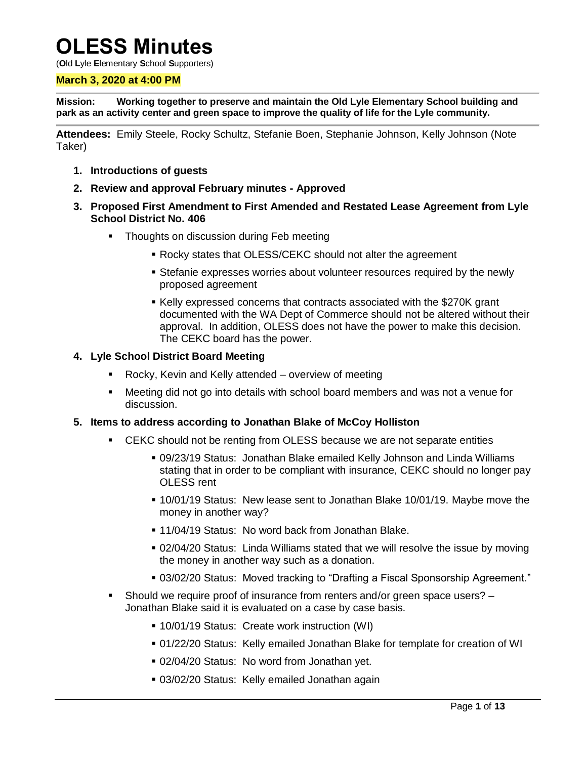# **OLESS Minutes**

(**O**ld **L**yle **E**lementary **S**chool **S**upporters)

#### **March 3, 2020 at 4:00 PM**

**Mission: Working together to preserve and maintain the Old Lyle Elementary School building and park as an activity center and green space to improve the quality of life for the Lyle community.**

**Attendees:** Emily Steele, Rocky Schultz, Stefanie Boen, Stephanie Johnson, Kelly Johnson (Note Taker)

- **1. Introductions of guests**
- **2. Review and approval February minutes - Approved**
- **3. Proposed First Amendment to First Amended and Restated Lease Agreement from Lyle School District No. 406**
	- **Thoughts on discussion during Feb meeting** 
		- Rocky states that OLESS/CEKC should not alter the agreement
		- Stefanie expresses worries about volunteer resources required by the newly proposed agreement
		- Kelly expressed concerns that contracts associated with the \$270K grant documented with the WA Dept of Commerce should not be altered without their approval. In addition, OLESS does not have the power to make this decision. The CEKC board has the power.

#### **4. Lyle School District Board Meeting**

- Rocky, Kevin and Kelly attended overview of meeting
- Meeting did not go into details with school board members and was not a venue for discussion.

#### **5. Items to address according to Jonathan Blake of McCoy Holliston**

- CEKC should not be renting from OLESS because we are not separate entities
	- 09/23/19 Status: Jonathan Blake emailed Kelly Johnson and Linda Williams stating that in order to be compliant with insurance, CEKC should no longer pay OLESS rent
	- 10/01/19 Status: New lease sent to Jonathan Blake 10/01/19. Maybe move the money in another way?
	- **11/04/19 Status: No word back from Jonathan Blake.**
	- 02/04/20 Status: Linda Williams stated that we will resolve the issue by moving the money in another way such as a donation.
	- 03/02/20 Status: Moved tracking to "Drafting a Fiscal Sponsorship Agreement."
- Should we require proof of insurance from renters and/or green space users? Jonathan Blake said it is evaluated on a case by case basis.
	- 10/01/19 Status: Create work instruction (WI)
	- 01/22/20 Status: Kelly emailed Jonathan Blake for template for creation of WI
	- 02/04/20 Status: No word from Jonathan yet.
	- 03/02/20 Status: Kelly emailed Jonathan again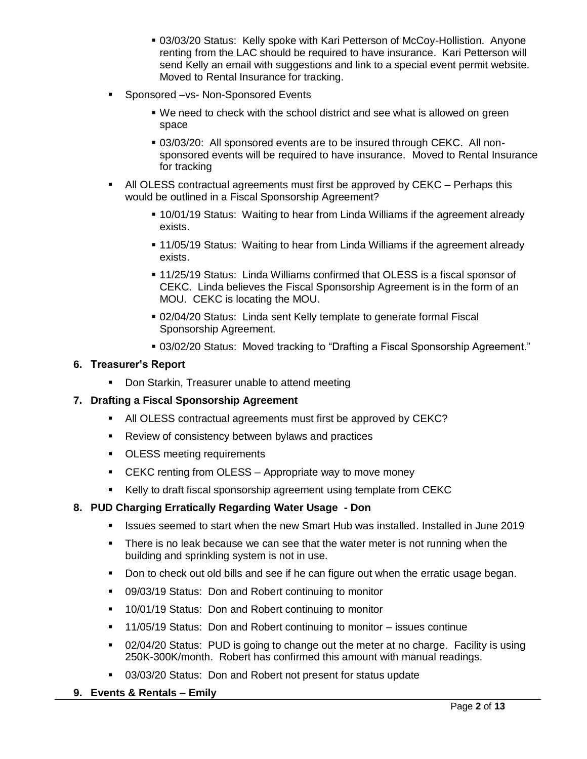- 03/03/20 Status: Kelly spoke with Kari Petterson of McCoy-Hollistion. Anyone renting from the LAC should be required to have insurance. Kari Petterson will send Kelly an email with suggestions and link to a special event permit website. Moved to Rental Insurance for tracking.
- **Sponsored –vs- Non-Sponsored Events** 
	- We need to check with the school district and see what is allowed on green space
	- 03/03/20: All sponsored events are to be insured through CEKC. All nonsponsored events will be required to have insurance. Moved to Rental Insurance for tracking
- All OLESS contractual agreements must first be approved by CEKC Perhaps this would be outlined in a Fiscal Sponsorship Agreement?
	- 10/01/19 Status: Waiting to hear from Linda Williams if the agreement already exists.
	- 11/05/19 Status: Waiting to hear from Linda Williams if the agreement already exists.
	- **11/25/19 Status: Linda Williams confirmed that OLESS is a fiscal sponsor of** CEKC. Linda believes the Fiscal Sponsorship Agreement is in the form of an MOU. CEKC is locating the MOU.
	- 02/04/20 Status: Linda sent Kelly template to generate formal Fiscal Sponsorship Agreement.
	- 03/02/20 Status: Moved tracking to "Drafting a Fiscal Sponsorship Agreement."

#### **6. Treasurer's Report**

**• Don Starkin, Treasurer unable to attend meeting** 

#### **7. Drafting a Fiscal Sponsorship Agreement**

- All OLESS contractual agreements must first be approved by CEKC?
- **Review of consistency between bylaws and practices**
- **OLESS meeting requirements**
- **EXAC renting from OLESS Appropriate way to move money**
- Kelly to draft fiscal sponsorship agreement using template from CEKC

#### **8. PUD Charging Erratically Regarding Water Usage - Don**

- Issues seemed to start when the new Smart Hub was installed. Installed in June 2019
- There is no leak because we can see that the water meter is not running when the building and sprinkling system is not in use.
- Don to check out old bills and see if he can figure out when the erratic usage began.
- 09/03/19 Status: Don and Robert continuing to monitor
- 10/01/19 Status: Don and Robert continuing to monitor
- 11/05/19 Status: Don and Robert continuing to monitor issues continue
- 02/04/20 Status: PUD is going to change out the meter at no charge. Facility is using 250K-300K/month. Robert has confirmed this amount with manual readings.
- 03/03/20 Status: Don and Robert not present for status update

#### **9. Events & Rentals – Emily**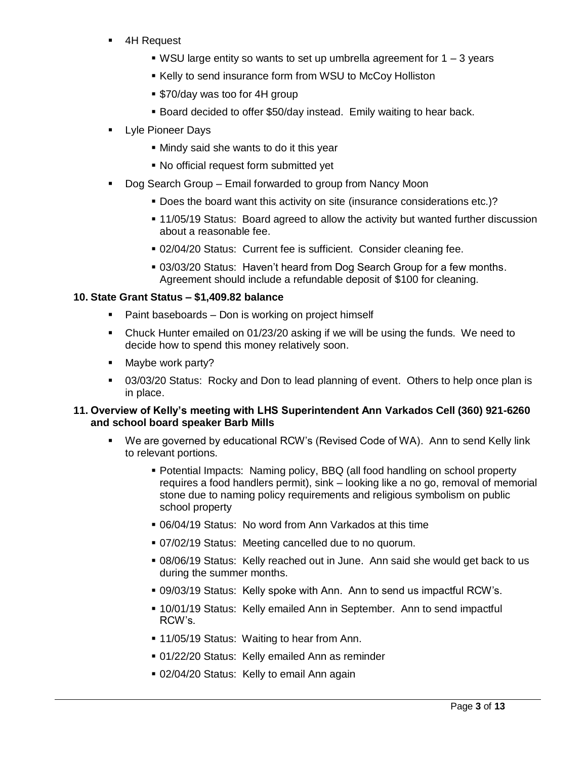- 4H Request
	- $\bullet$  WSU large entity so wants to set up umbrella agreement for 1 3 years
	- **Kelly to send insurance form from WSU to McCoy Holliston**
	- \$70/day was too for 4H group
	- **Board decided to offer \$50/day instead. Emily waiting to hear back.**
- Lyle Pioneer Days
	- Mindy said she wants to do it this year
	- No official request form submitted yet
- Dog Search Group Email forwarded to group from Nancy Moon
	- Does the board want this activity on site (insurance considerations etc.)?
	- 11/05/19 Status: Board agreed to allow the activity but wanted further discussion about a reasonable fee.
	- 02/04/20 Status: Current fee is sufficient. Consider cleaning fee.
	- 03/03/20 Status: Haven't heard from Dog Search Group for a few months. Agreement should include a refundable deposit of \$100 for cleaning.

#### **10. State Grant Status – \$1,409.82 balance**

- Paint baseboards Don is working on project himself
- Chuck Hunter emailed on 01/23/20 asking if we will be using the funds. We need to decide how to spend this money relatively soon.
- Maybe work party?
- 03/03/20 Status: Rocky and Don to lead planning of event. Others to help once plan is in place.

#### **11. Overview of Kelly's meeting with LHS Superintendent Ann Varkados Cell (360) 921-6260 and school board speaker Barb Mills**

- We are governed by educational RCW's (Revised Code of WA). Ann to send Kelly link to relevant portions.
	- Potential Impacts: Naming policy, BBQ (all food handling on school property requires a food handlers permit), sink – looking like a no go, removal of memorial stone due to naming policy requirements and religious symbolism on public school property
	- 06/04/19 Status: No word from Ann Varkados at this time
	- 07/02/19 Status: Meeting cancelled due to no quorum.
	- 08/06/19 Status: Kelly reached out in June. Ann said she would get back to us during the summer months.
	- 09/03/19 Status: Kelly spoke with Ann. Ann to send us impactful RCW's.
	- 10/01/19 Status: Kelly emailed Ann in September. Ann to send impactful RCW's.
	- **11/05/19 Status: Waiting to hear from Ann.**
	- 01/22/20 Status: Kelly emailed Ann as reminder
	- 02/04/20 Status: Kelly to email Ann again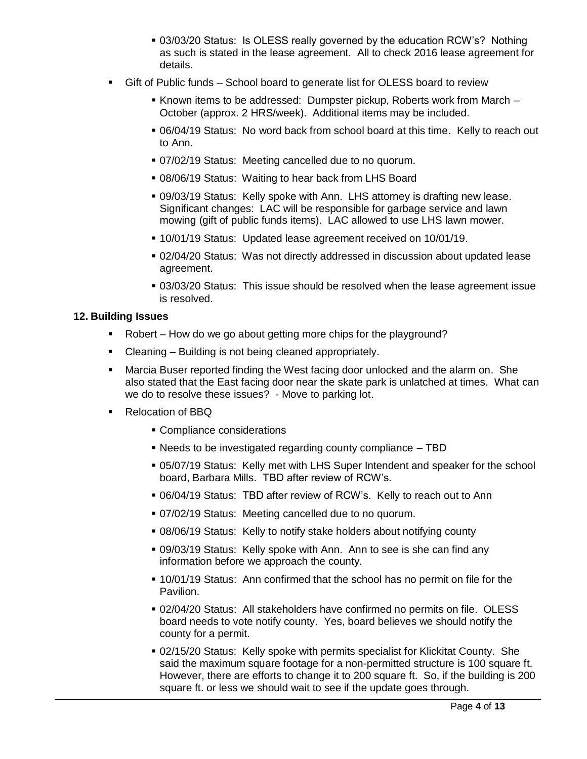- 03/03/20 Status: Is OLESS really governed by the education RCW's? Nothing as such is stated in the lease agreement. All to check 2016 lease agreement for details.
- Gift of Public funds School board to generate list for OLESS board to review
	- Known items to be addressed: Dumpster pickup, Roberts work from March -October (approx. 2 HRS/week). Additional items may be included.
	- 06/04/19 Status: No word back from school board at this time. Kelly to reach out to Ann.
	- 07/02/19 Status: Meeting cancelled due to no quorum.
	- 08/06/19 Status: Waiting to hear back from LHS Board
	- 09/03/19 Status: Kelly spoke with Ann. LHS attorney is drafting new lease. Significant changes: LAC will be responsible for garbage service and lawn mowing (gift of public funds items). LAC allowed to use LHS lawn mower.
	- 10/01/19 Status: Updated lease agreement received on 10/01/19.
	- 02/04/20 Status: Was not directly addressed in discussion about updated lease agreement.
	- 03/03/20 Status: This issue should be resolved when the lease agreement issue is resolved.

#### **12. Building Issues**

- Robert How do we go about getting more chips for the playground?
- Cleaning Building is not being cleaned appropriately.
- Marcia Buser reported finding the West facing door unlocked and the alarm on. She also stated that the East facing door near the skate park is unlatched at times. What can we do to resolve these issues? - Move to parking lot.
- Relocation of BBQ
	- Compliance considerations
	- Needs to be investigated regarding county compliance TBD
	- 05/07/19 Status: Kelly met with LHS Super Intendent and speaker for the school board, Barbara Mills. TBD after review of RCW's.
	- 06/04/19 Status: TBD after review of RCW's. Kelly to reach out to Ann
	- 07/02/19 Status: Meeting cancelled due to no quorum.
	- 08/06/19 Status: Kelly to notify stake holders about notifying county
	- 09/03/19 Status: Kelly spoke with Ann. Ann to see is she can find any information before we approach the county.
	- 10/01/19 Status: Ann confirmed that the school has no permit on file for the Pavilion.
	- 02/04/20 Status: All stakeholders have confirmed no permits on file. OLESS board needs to vote notify county. Yes, board believes we should notify the county for a permit.
	- 02/15/20 Status: Kelly spoke with permits specialist for Klickitat County. She said the maximum square footage for a non-permitted structure is 100 square ft. However, there are efforts to change it to 200 square ft. So, if the building is 200 square ft. or less we should wait to see if the update goes through.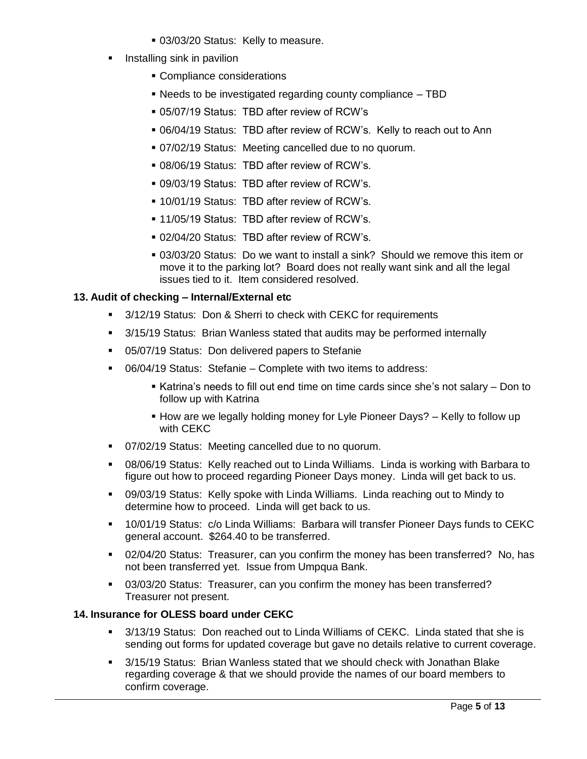- 03/03/20 Status: Kelly to measure.
- Installing sink in pavilion
	- Compliance considerations
	- Needs to be investigated regarding county compliance TBD
	- 05/07/19 Status: TBD after review of RCW's
	- 06/04/19 Status: TBD after review of RCW's. Kelly to reach out to Ann
	- 07/02/19 Status: Meeting cancelled due to no quorum.
	- 08/06/19 Status: TBD after review of RCW's.
	- 09/03/19 Status: TBD after review of RCW's.
	- 10/01/19 Status: TBD after review of RCW's.
	- 11/05/19 Status: TBD after review of RCW's.
	- 02/04/20 Status: TBD after review of RCW's.
	- 03/03/20 Status: Do we want to install a sink? Should we remove this item or move it to the parking lot? Board does not really want sink and all the legal issues tied to it. Item considered resolved.

#### **13. Audit of checking – Internal/External etc**

- <sup>8</sup> 3/12/19 Status: Don & Sherri to check with CEKC for requirements
- 3/15/19 Status: Brian Wanless stated that audits may be performed internally
- 05/07/19 Status: Don delivered papers to Stefanie
- 06/04/19 Status: Stefanie Complete with two items to address:
	- Katrina's needs to fill out end time on time cards since she's not salary Don to follow up with Katrina
	- How are we legally holding money for Lyle Pioneer Days? Kelly to follow up with CEKC
- 07/02/19 Status: Meeting cancelled due to no quorum.
- 08/06/19 Status: Kelly reached out to Linda Williams. Linda is working with Barbara to figure out how to proceed regarding Pioneer Days money. Linda will get back to us.
- 09/03/19 Status: Kelly spoke with Linda Williams. Linda reaching out to Mindy to determine how to proceed. Linda will get back to us.
- 10/01/19 Status: c/o Linda Williams: Barbara will transfer Pioneer Days funds to CEKC general account. \$264.40 to be transferred.
- 02/04/20 Status: Treasurer, can you confirm the money has been transferred? No, has not been transferred yet. Issue from Umpqua Bank.
- 03/03/20 Status: Treasurer, can you confirm the money has been transferred? Treasurer not present.

#### **14. Insurance for OLESS board under CEKC**

- 3/13/19 Status: Don reached out to Linda Williams of CEKC. Linda stated that she is sending out forms for updated coverage but gave no details relative to current coverage.
- 3/15/19 Status: Brian Wanless stated that we should check with Jonathan Blake regarding coverage & that we should provide the names of our board members to confirm coverage.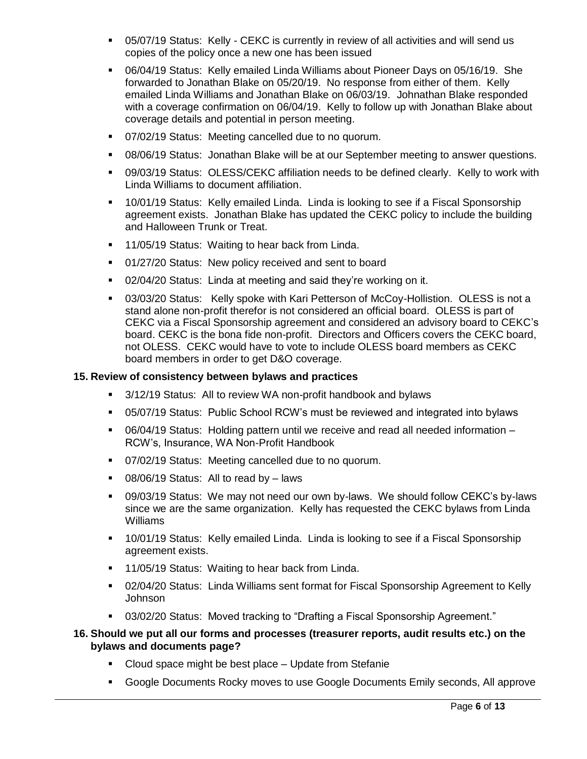- 05/07/19 Status: Kelly CEKC is currently in review of all activities and will send us copies of the policy once a new one has been issued
- 06/04/19 Status: Kelly emailed Linda Williams about Pioneer Days on 05/16/19. She forwarded to Jonathan Blake on 05/20/19. No response from either of them. Kelly emailed Linda Williams and Jonathan Blake on 06/03/19. Johnathan Blake responded with a coverage confirmation on 06/04/19. Kelly to follow up with Jonathan Blake about coverage details and potential in person meeting.
- 07/02/19 Status: Meeting cancelled due to no quorum.
- 08/06/19 Status: Jonathan Blake will be at our September meeting to answer questions.
- 09/03/19 Status: OLESS/CEKC affiliation needs to be defined clearly. Kelly to work with Linda Williams to document affiliation.
- 10/01/19 Status: Kelly emailed Linda. Linda is looking to see if a Fiscal Sponsorship agreement exists. Jonathan Blake has updated the CEKC policy to include the building and Halloween Trunk or Treat.
- **11/05/19 Status: Waiting to hear back from Linda.**
- 01/27/20 Status: New policy received and sent to board
- 02/04/20 Status: Linda at meeting and said they're working on it.
- 03/03/20 Status: Kelly spoke with Kari Petterson of McCoy-Hollistion. OLESS is not a stand alone non-profit therefor is not considered an official board. OLESS is part of CEKC via a Fiscal Sponsorship agreement and considered an advisory board to CEKC's board. CEKC is the bona fide non-profit. Directors and Officers covers the CEKC board, not OLESS. CEKC would have to vote to include OLESS board members as CEKC board members in order to get D&O coverage.

#### **15. Review of consistency between bylaws and practices**

- 3/12/19 Status: All to review WA non-profit handbook and bylaws
- 05/07/19 Status: Public School RCW's must be reviewed and integrated into bylaws
- 06/04/19 Status: Holding pattern until we receive and read all needed information RCW's, Insurance, WA Non-Profit Handbook
- 07/02/19 Status: Meeting cancelled due to no quorum.
- 08/06/19 Status: All to read by laws
- 09/03/19 Status: We may not need our own by-laws. We should follow CEKC's by-laws since we are the same organization. Kelly has requested the CEKC bylaws from Linda Williams
- 10/01/19 Status: Kelly emailed Linda. Linda is looking to see if a Fiscal Sponsorship agreement exists.
- **11/05/19 Status: Waiting to hear back from Linda.**
- 02/04/20 Status: Linda Williams sent format for Fiscal Sponsorship Agreement to Kelly Johnson
- 03/02/20 Status: Moved tracking to "Drafting a Fiscal Sponsorship Agreement."
- **16. Should we put all our forms and processes (treasurer reports, audit results etc.) on the bylaws and documents page?**
	- Cloud space might be best place Update from Stefanie
	- Google Documents Rocky moves to use Google Documents Emily seconds, All approve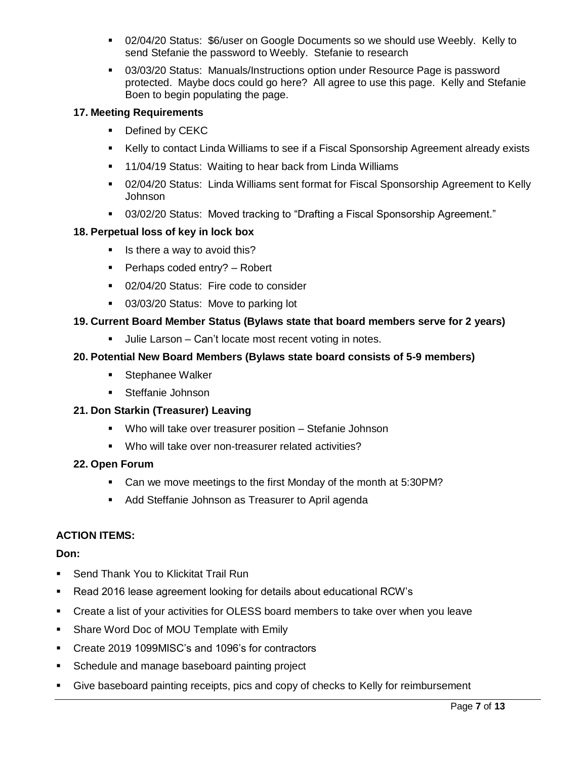- 02/04/20 Status: \$6/user on Google Documents so we should use Weebly. Kelly to send Stefanie the password to Weebly. Stefanie to research
- 03/03/20 Status: Manuals/Instructions option under Resource Page is password protected. Maybe docs could go here? All agree to use this page. Kelly and Stefanie Boen to begin populating the page.

# **17. Meeting Requirements**

- Defined by CEKC
- Kelly to contact Linda Williams to see if a Fiscal Sponsorship Agreement already exists
- **11/04/19 Status: Waiting to hear back from Linda Williams**
- 02/04/20 Status: Linda Williams sent format for Fiscal Sponsorship Agreement to Kelly Johnson
- 03/02/20 Status: Moved tracking to "Drafting a Fiscal Sponsorship Agreement."

# **18. Perpetual loss of key in lock box**

- $\blacksquare$  Is there a way to avoid this?
- Perhaps coded entry?  $-$  Robert
- **02/04/20 Status: Fire code to consider**
- **03/03/20 Status: Move to parking lot**

# **19. Current Board Member Status (Bylaws state that board members serve for 2 years)**

Julie Larson – Can't locate most recent voting in notes.

# **20. Potential New Board Members (Bylaws state board consists of 5-9 members)**

- **Stephanee Walker**
- Steffanie Johnson

# **21. Don Starkin (Treasurer) Leaving**

- Who will take over treasurer position Stefanie Johnson
- Who will take over non-treasurer related activities?

# **22. Open Forum**

- Can we move meetings to the first Monday of the month at 5:30PM?
- Add Steffanie Johnson as Treasurer to April agenda

# **ACTION ITEMS:**

#### **Don:**

- **Send Thank You to Klickitat Trail Run**
- Read 2016 lease agreement looking for details about educational RCW's
- Create a list of your activities for OLESS board members to take over when you leave
- **Share Word Doc of MOU Template with Emily**
- Create 2019 1099MISC's and 1096's for contractors
- **Schedule and manage baseboard painting project**
- Give baseboard painting receipts, pics and copy of checks to Kelly for reimbursement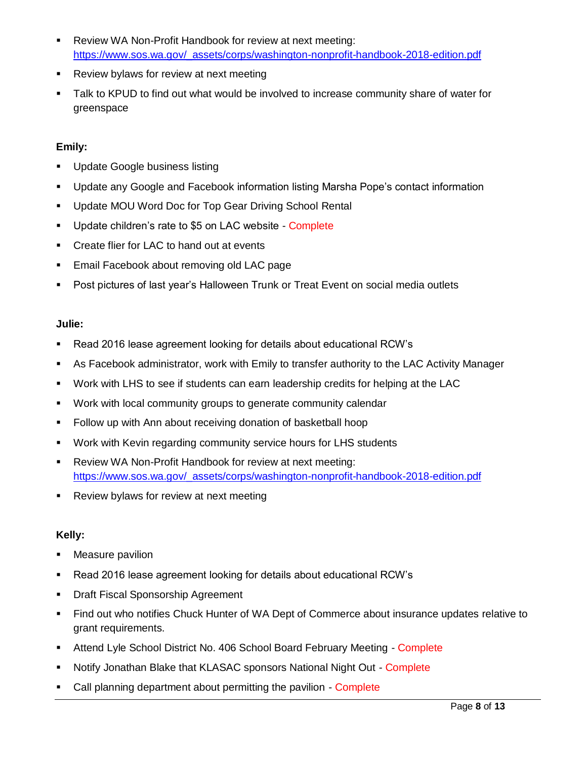- Review WA Non-Profit Handbook for review at next meeting: [https://www.sos.wa.gov/\\_assets/corps/washington-nonprofit-handbook-2018-edition.pdf](https://www.sos.wa.gov/_assets/corps/washington-nonprofit-handbook-2018-edition.pdf)
- **Review bylaws for review at next meeting**
- Talk to KPUD to find out what would be involved to increase community share of water for greenspace

## **Emily:**

- **Update Google business listing**
- Update any Google and Facebook information listing Marsha Pope's contact information
- **Update MOU Word Doc for Top Gear Driving School Rental**
- Update children's rate to \$5 on LAC website Complete
- **EXECT** Create flier for LAC to hand out at events
- **Email Facebook about removing old LAC page**
- Post pictures of last year's Halloween Trunk or Treat Event on social media outlets

# **Julie:**

- Read 2016 lease agreement looking for details about educational RCW's
- As Facebook administrator, work with Emily to transfer authority to the LAC Activity Manager
- Work with LHS to see if students can earn leadership credits for helping at the LAC
- Work with local community groups to generate community calendar
- Follow up with Ann about receiving donation of basketball hoop
- Work with Kevin regarding community service hours for LHS students
- Review WA Non-Profit Handbook for review at next meeting: [https://www.sos.wa.gov/\\_assets/corps/washington-nonprofit-handbook-2018-edition.pdf](https://www.sos.wa.gov/_assets/corps/washington-nonprofit-handbook-2018-edition.pdf)
- **Review bylaws for review at next meeting**

# **Kelly:**

- **Measure pavilion**
- Read 2016 lease agreement looking for details about educational RCW's
- **Draft Fiscal Sponsorship Agreement**
- Find out who notifies Chuck Hunter of WA Dept of Commerce about insurance updates relative to grant requirements.
- **Attend Lyle School District No. 406 School Board February Meeting Complete**
- Notify Jonathan Blake that KLASAC sponsors National Night Out Complete
- Call planning department about permitting the pavilion Complete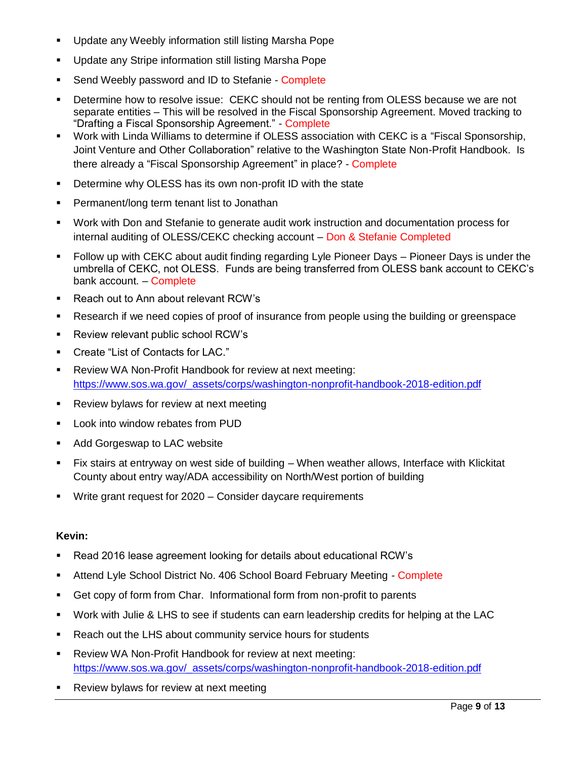- Update any Weebly information still listing Marsha Pope
- **Update any Stripe information still listing Marsha Pope**
- Send Weebly password and ID to Stefanie Complete
- **•** Determine how to resolve issue: CEKC should not be renting from OLESS because we are not separate entities – This will be resolved in the Fiscal Sponsorship Agreement. Moved tracking to "Drafting a Fiscal Sponsorship Agreement." - Complete
- Work with Linda Williams to determine if OLESS association with CEKC is a "Fiscal Sponsorship, Joint Venture and Other Collaboration" relative to the Washington State Non-Profit Handbook. Is there already a "Fiscal Sponsorship Agreement" in place? - Complete
- **•** Determine why OLESS has its own non-profit ID with the state
- **Permanent/long term tenant list to Jonathan**
- Work with Don and Stefanie to generate audit work instruction and documentation process for internal auditing of OLESS/CEKC checking account – Don & Stefanie Completed
- Follow up with CEKC about audit finding regarding Lyle Pioneer Days Pioneer Days is under the umbrella of CEKC, not OLESS. Funds are being transferred from OLESS bank account to CEKC's bank account. – Complete
- **Reach out to Ann about relevant RCW's**
- Research if we need copies of proof of insurance from people using the building or greenspace
- **Review relevant public school RCW's**
- Create "List of Contacts for LAC."
- Review WA Non-Profit Handbook for review at next meeting: [https://www.sos.wa.gov/\\_assets/corps/washington-nonprofit-handbook-2018-edition.pdf](https://www.sos.wa.gov/_assets/corps/washington-nonprofit-handbook-2018-edition.pdf)
- **Review bylaws for review at next meeting**
- **Look into window rebates from PUD**
- **Add Gorgeswap to LAC website**
- Fix stairs at entryway on west side of building When weather allows, Interface with Klickitat County about entry way/ADA accessibility on North/West portion of building
- Write grant request for 2020 Consider daycare requirements

#### **Kevin:**

- Read 2016 lease agreement looking for details about educational RCW's
- Attend Lyle School District No. 406 School Board February Meeting Complete
- Get copy of form from Char. Informational form from non-profit to parents
- Work with Julie & LHS to see if students can earn leadership credits for helping at the LAC
- **Reach out the LHS about community service hours for students**
- Review WA Non-Profit Handbook for review at next meeting: [https://www.sos.wa.gov/\\_assets/corps/washington-nonprofit-handbook-2018-edition.pdf](https://www.sos.wa.gov/_assets/corps/washington-nonprofit-handbook-2018-edition.pdf)
- Review bylaws for review at next meeting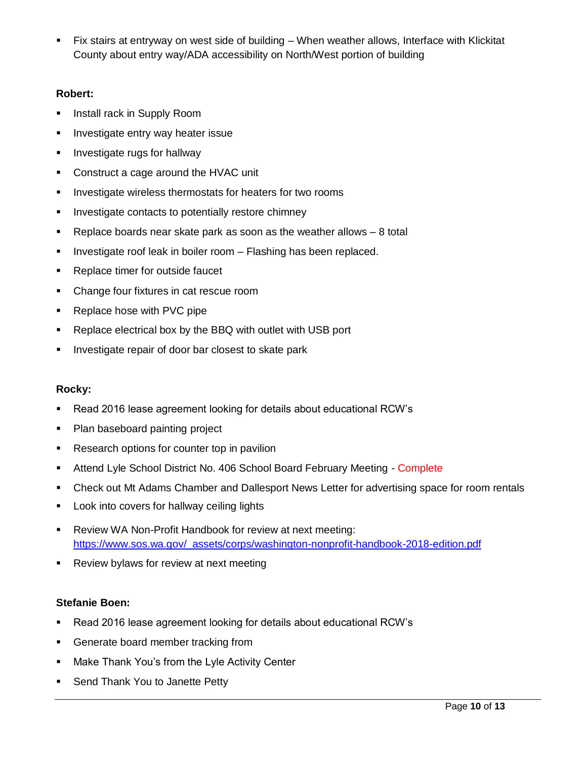Fix stairs at entryway on west side of building – When weather allows, Interface with Klickitat County about entry way/ADA accessibility on North/West portion of building

## **Robert:**

- **IF** Install rack in Supply Room
- **Investigate entry way heater issue**
- **Investigate rugs for hallway**
- **Construct a cage around the HVAC unit**
- **Investigate wireless thermostats for heaters for two rooms**
- **Investigate contacts to potentially restore chimney**
- **Parage 2** Replace boards near skate park as soon as the weather allows  $-8$  total
- **Investigate roof leak in boiler room Flashing has been replaced.**
- Replace timer for outside faucet
- Change four fixtures in cat rescue room
- Replace hose with PVC pipe
- **Replace electrical box by the BBQ with outlet with USB port**
- **Investigate repair of door bar closest to skate park**

# **Rocky:**

- Read 2016 lease agreement looking for details about educational RCW's
- Plan baseboard painting project
- Research options for counter top in pavilion
- **Attend Lyle School District No. 406 School Board February Meeting Complete**
- Check out Mt Adams Chamber and Dallesport News Letter for advertising space for room rentals
- **Look into covers for hallway ceiling lights**
- Review WA Non-Profit Handbook for review at next meeting: [https://www.sos.wa.gov/\\_assets/corps/washington-nonprofit-handbook-2018-edition.pdf](https://www.sos.wa.gov/_assets/corps/washington-nonprofit-handbook-2018-edition.pdf)
- **Review bylaws for review at next meeting**

# **Stefanie Boen:**

- Read 2016 lease agreement looking for details about educational RCW's
- **Generate board member tracking from**
- **Make Thank You's from the Lyle Activity Center**
- **Send Thank You to Janette Petty**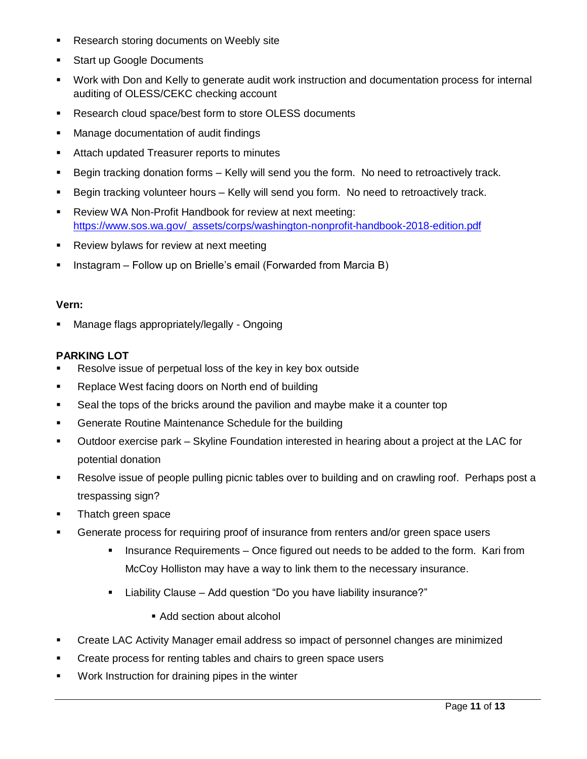- **Research storing documents on Weebly site**
- **Start up Google Documents**
- Work with Don and Kelly to generate audit work instruction and documentation process for internal auditing of OLESS/CEKC checking account
- **Research cloud space/best form to store OLESS documents**
- **Manage documentation of audit findings**
- **Attach updated Treasurer reports to minutes**
- Begin tracking donation forms Kelly will send you the form. No need to retroactively track.
- Begin tracking volunteer hours Kelly will send you form. No need to retroactively track.
- **Review WA Non-Profit Handbook for review at next meeting:** [https://www.sos.wa.gov/\\_assets/corps/washington-nonprofit-handbook-2018-edition.pdf](https://www.sos.wa.gov/_assets/corps/washington-nonprofit-handbook-2018-edition.pdf)
- **Review bylaws for review at next meeting**
- **Instagram Follow up on Brielle's email (Forwarded from Marcia B)**

### **Vern:**

Manage flags appropriately/legally - Ongoing

# **PARKING LOT**

- Resolve issue of perpetual loss of the key in key box outside
- **Replace West facing doors on North end of building**
- Seal the tops of the bricks around the pavilion and maybe make it a counter top
- **Generate Routine Maintenance Schedule for the building**
- Outdoor exercise park Skyline Foundation interested in hearing about a project at the LAC for potential donation
- Resolve issue of people pulling picnic tables over to building and on crawling roof. Perhaps post a trespassing sign?
- Thatch green space
- **Generate process for requiring proof of insurance from renters and/or green space users** 
	- Insurance Requirements Once figured out needs to be added to the form. Kari from McCoy Holliston may have a way to link them to the necessary insurance.
	- Liability Clause Add question "Do you have liability insurance?"
		- Add section about alcohol
- Create LAC Activity Manager email address so impact of personnel changes are minimized
- **Create process for renting tables and chairs to green space users**
- **Work Instruction for draining pipes in the winter**